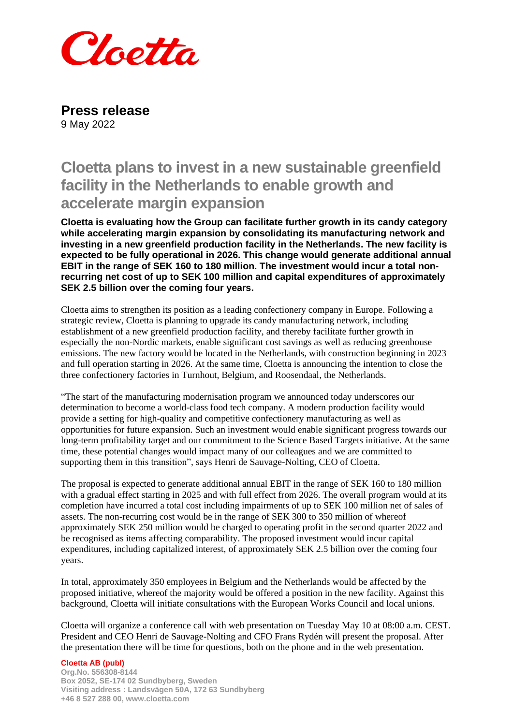

**Press release** 9 May 2022

## **Cloetta plans to invest in a new sustainable greenfield facility in the Netherlands to enable growth and accelerate margin expansion**

**Cloetta is evaluating how the Group can facilitate further growth in its candy category while accelerating margin expansion by consolidating its manufacturing network and investing in a new greenfield production facility in the Netherlands. The new facility is expected to be fully operational in 2026. This change would generate additional annual EBIT in the range of SEK 160 to 180 million. The investment would incur a total nonrecurring net cost of up to SEK 100 million and capital expenditures of approximately SEK 2.5 billion over the coming four years.** 

Cloetta aims to strengthen its position as a leading confectionery company in Europe. Following a strategic review, Cloetta is planning to upgrade its candy manufacturing network, including establishment of a new greenfield production facility, and thereby facilitate further growth in especially the non-Nordic markets, enable significant cost savings as well as reducing greenhouse emissions. The new factory would be located in the Netherlands, with construction beginning in 2023 and full operation starting in 2026. At the same time, Cloetta is announcing the intention to close the three confectionery factories in Turnhout, Belgium, and Roosendaal, the Netherlands.

"The start of the manufacturing modernisation program we announced today underscores our determination to become a world-class food tech company. A modern production facility would provide a setting for high-quality and competitive confectionery manufacturing as well as opportunities for future expansion. Such an investment would enable significant progress towards our long-term profitability target and our commitment to the Science Based Targets initiative. At the same time, these potential changes would impact many of our colleagues and we are committed to supporting them in this transition", says Henri de Sauvage-Nolting, CEO of Cloetta.

The proposal is expected to generate additional annual EBIT in the range of SEK 160 to 180 million with a gradual effect starting in 2025 and with full effect from 2026. The overall program would at its completion have incurred a total cost including impairments of up to SEK 100 million net of sales of assets. The non-recurring cost would be in the range of SEK 300 to 350 million of whereof approximately SEK 250 million would be charged to operating profit in the second quarter 2022 and be recognised as items affecting comparability. The proposed investment would incur capital expenditures, including capitalized interest, of approximately SEK 2.5 billion over the coming four years.

In total, approximately 350 employees in Belgium and the Netherlands would be affected by the proposed initiative, whereof the majority would be offered a position in the new facility. Against this background, Cloetta will initiate consultations with the European Works Council and local unions.

Cloetta will organize a conference call with web presentation on Tuesday May 10 at 08:00 a.m. CEST. President and CEO Henri de Sauvage-Nolting and CFO Frans Rydén will present the proposal. After the presentation there will be time for questions, both on the phone and in the web presentation.

## **Cloetta AB (publ)**